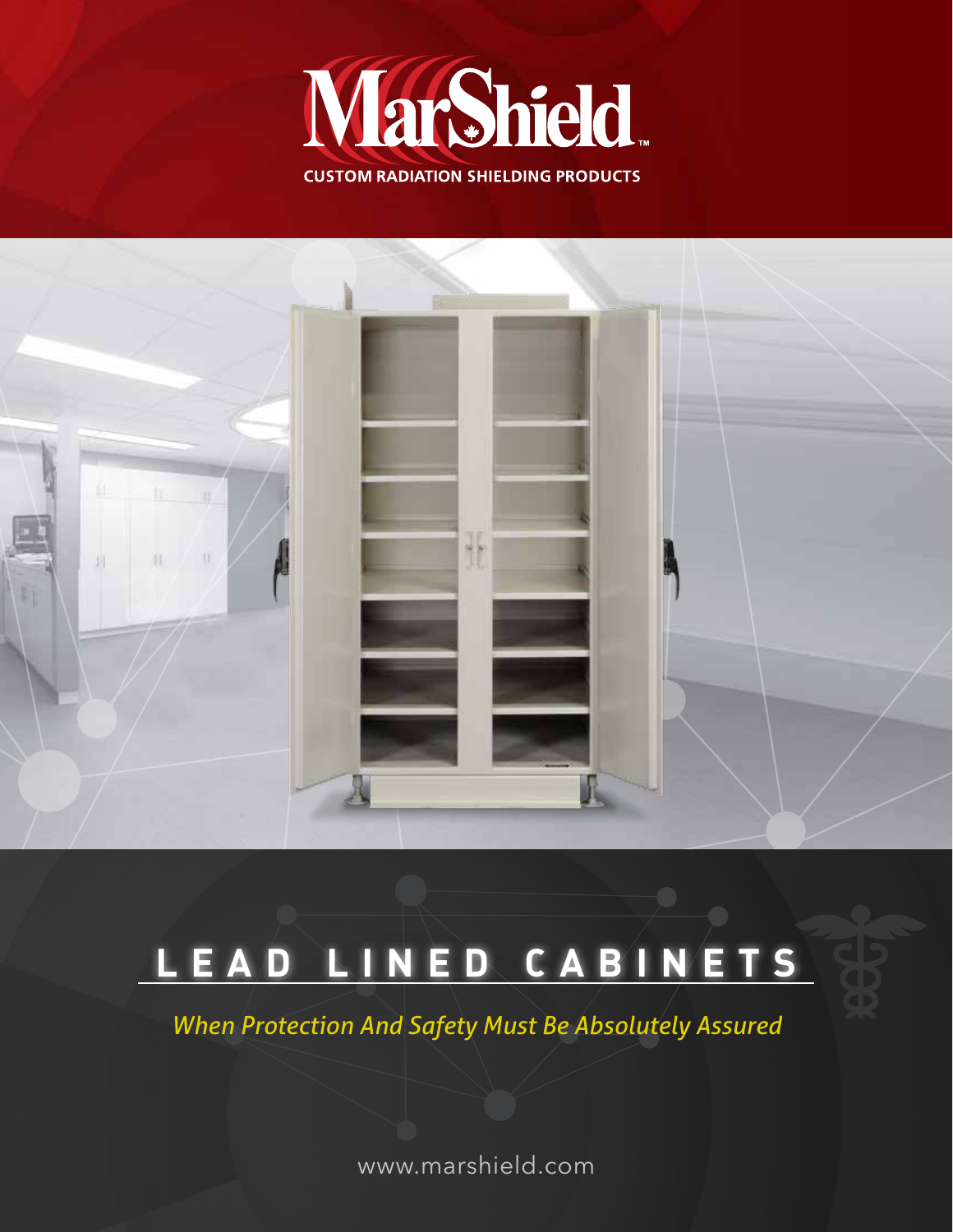



### **LEAD LINED CABINETS**

*When Protection And Safety Must Be Absolutely Assured*

www.marshield.com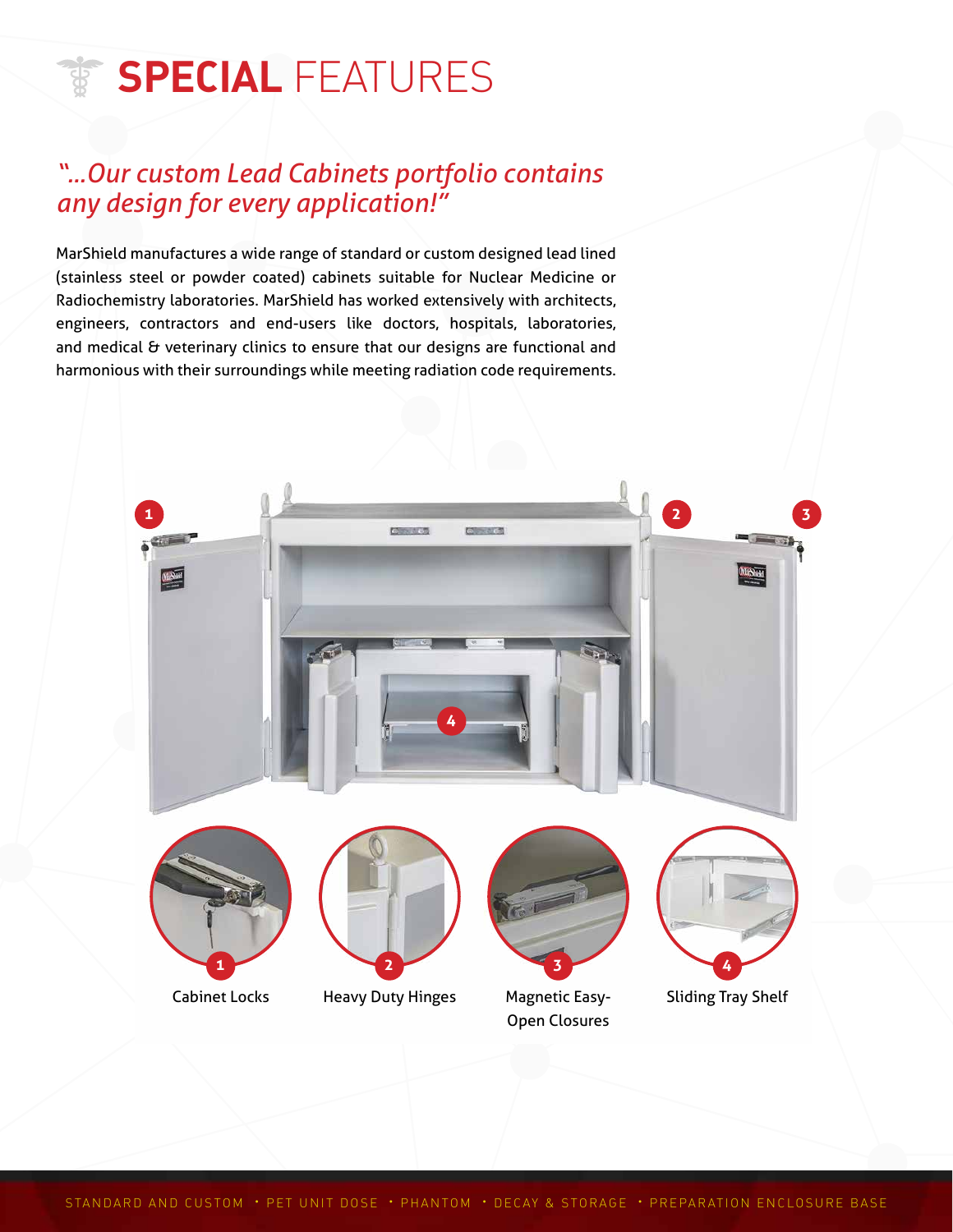# **SPECIAL FEATURES**

### *"...Our custom Lead Cabinets portfolio contains any design for every application!"*

MarShield manufactures a wide range of standard or custom designed lead lined (stainless steel or powder coated) cabinets suitable for Nuclear Medicine or Radiochemistry laboratories. MarShield has worked extensively with architects, engineers, contractors and end-users like doctors, hospitals, laboratories, and medical & veterinary clinics to ensure that our designs are functional and harmonious with their surroundings while meeting radiation code requirements.

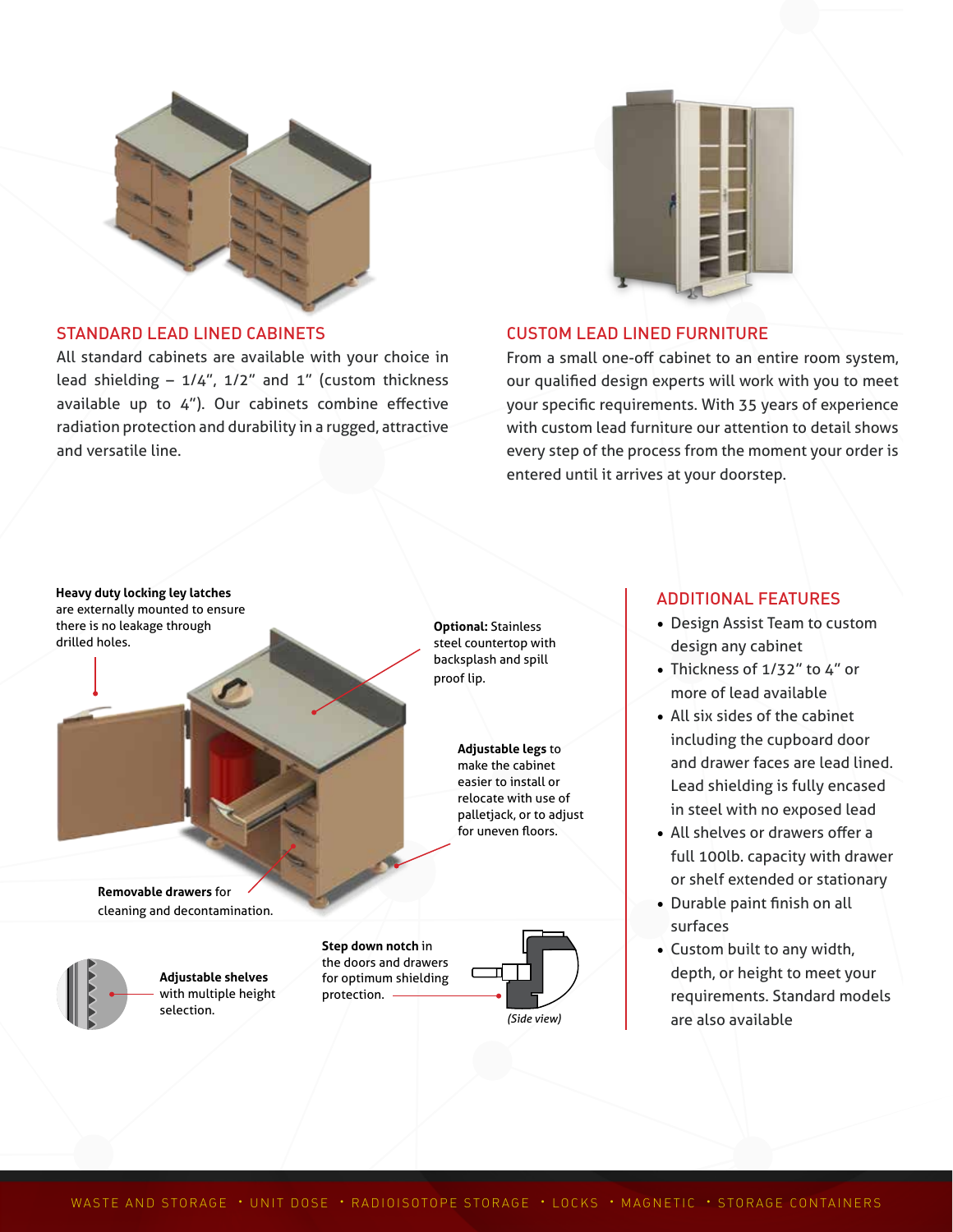

#### STANDARD LEAD LINED CABINETS

All standard cabinets are available with your choice in lead shielding  $-1/4$ ",  $1/2$ " and  $1$ " (custom thickness available up to 4"). Our cabinets combine effective radiation protection and durability in a rugged, attractive and versatile line.



#### CUSTOM LEAD LINED FURNITURE

From a small one-off cabinet to an entire room system, our qualified design experts will work with you to meet your specific requirements. With 35 years of experience with custom lead furniture our attention to detail shows every step of the process from the moment your order is entered until it arrives at your doorstep.



**Optional:** Stainless steel countertop with backsplash and spill

> **Adjustable legs** to make the cabinet easier to install or relocate with use of palletjack, or to adjust for uneven floors.

# *(Side view)*

#### ADDITIONAL FEATURES

- Design Assist Team to custom design any cabinet
- Thickness of 1/32" to 4" or more of lead available
- All six sides of the cabinet including the cupboard door and drawer faces are lead lined. Lead shielding is fully encased in steel with no exposed lead
- All shelves or drawers offer a full 100lb. capacity with drawer or shelf extended or stationary
- Durable paint finish on all surfaces
- Custom built to any width, depth, or height to meet your requirements. Standard models are also available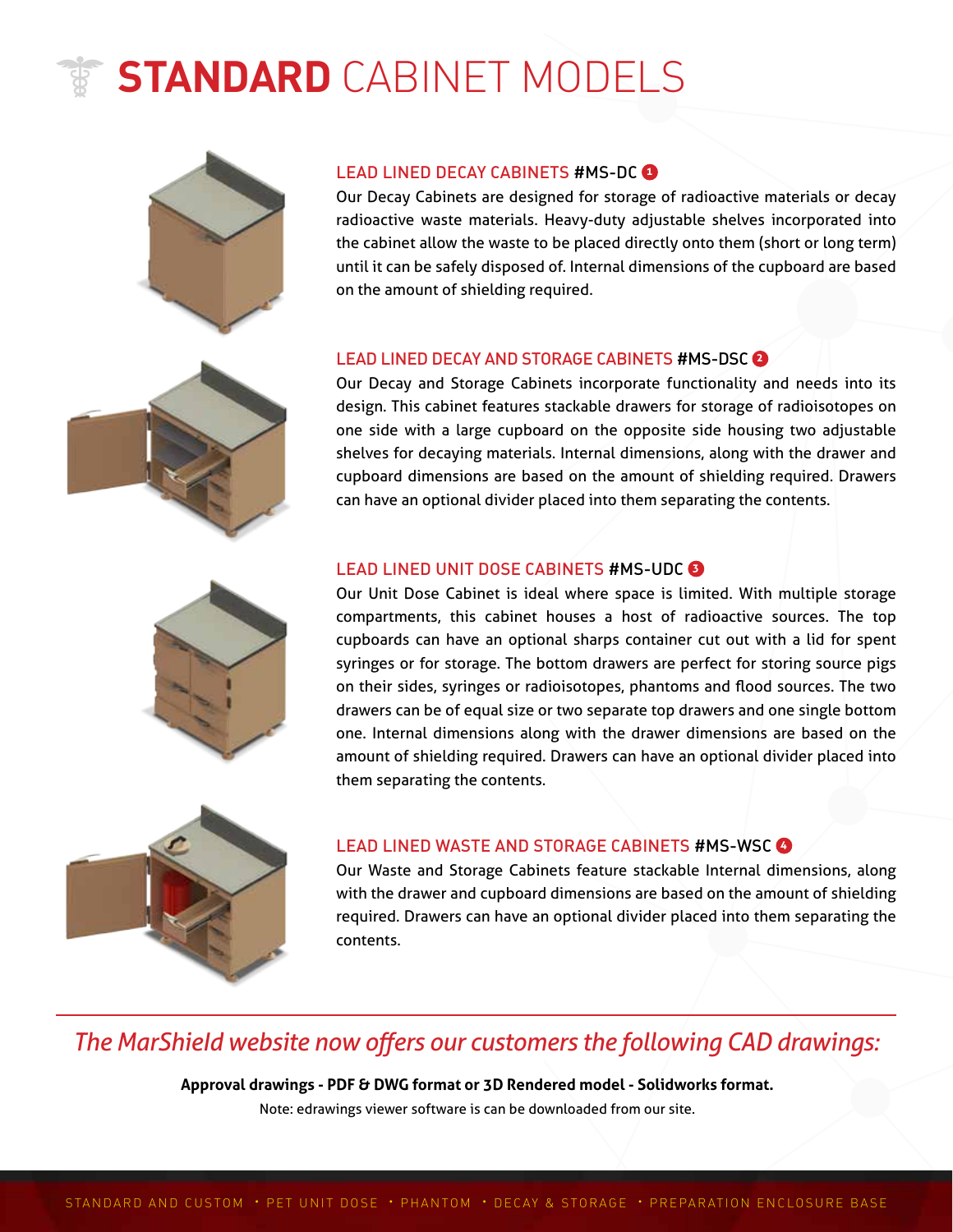# **STANDARD** CABINET MODELS





Our Decay Cabinets are designed for storage of radioactive materials or decay radioactive waste materials. Heavy-duty adjustable shelves incorporated into the cabinet allow the waste to be placed directly onto them (short or long term) until it can be safely disposed of. Internal dimensions of the cupboard are based on the amount of shielding required.

#### LEAD LINED DECAY AND STORAGE CABINETS #MS-DSC **<sup>2</sup>**

Our Decay and Storage Cabinets incorporate functionality and needs into its design. This cabinet features stackable drawers for storage of radioisotopes on one side with a large cupboard on the opposite side housing two adjustable shelves for decaying materials. Internal dimensions, along with the drawer and cupboard dimensions are based on the amount of shielding required. Drawers can have an optional divider placed into them separating the contents.

#### LEAD LINED UNIT DOSE CABINETS #MS-UDC **<sup>3</sup>**

Our Unit Dose Cabinet is ideal where space is limited. With multiple storage compartments, this cabinet houses a host of radioactive sources. The top cupboards can have an optional sharps container cut out with a lid for spent syringes or for storage. The bottom drawers are perfect for storing source pigs on their sides, syringes or radioisotopes, phantoms and flood sources. The two drawers can be of equal size or two separate top drawers and one single bottom one. Internal dimensions along with the drawer dimensions are based on the amount of shielding required. Drawers can have an optional divider placed into them separating the contents.



#### LEAD LINED WASTE AND STORAGE CABINETS #MS-WSC **<sup>4</sup>**

Our Waste and Storage Cabinets feature stackable Internal dimensions, along with the drawer and cupboard dimensions are based on the amount of shielding required. Drawers can have an optional divider placed into them separating the contents.

### *The MarShieId website now offers our customers the following CAD drawings:*

**Approval drawings - PDF & DWG format or 3D Rendered model - Solidworks format.** Note: edrawings viewer software is can be downloaded from our site.



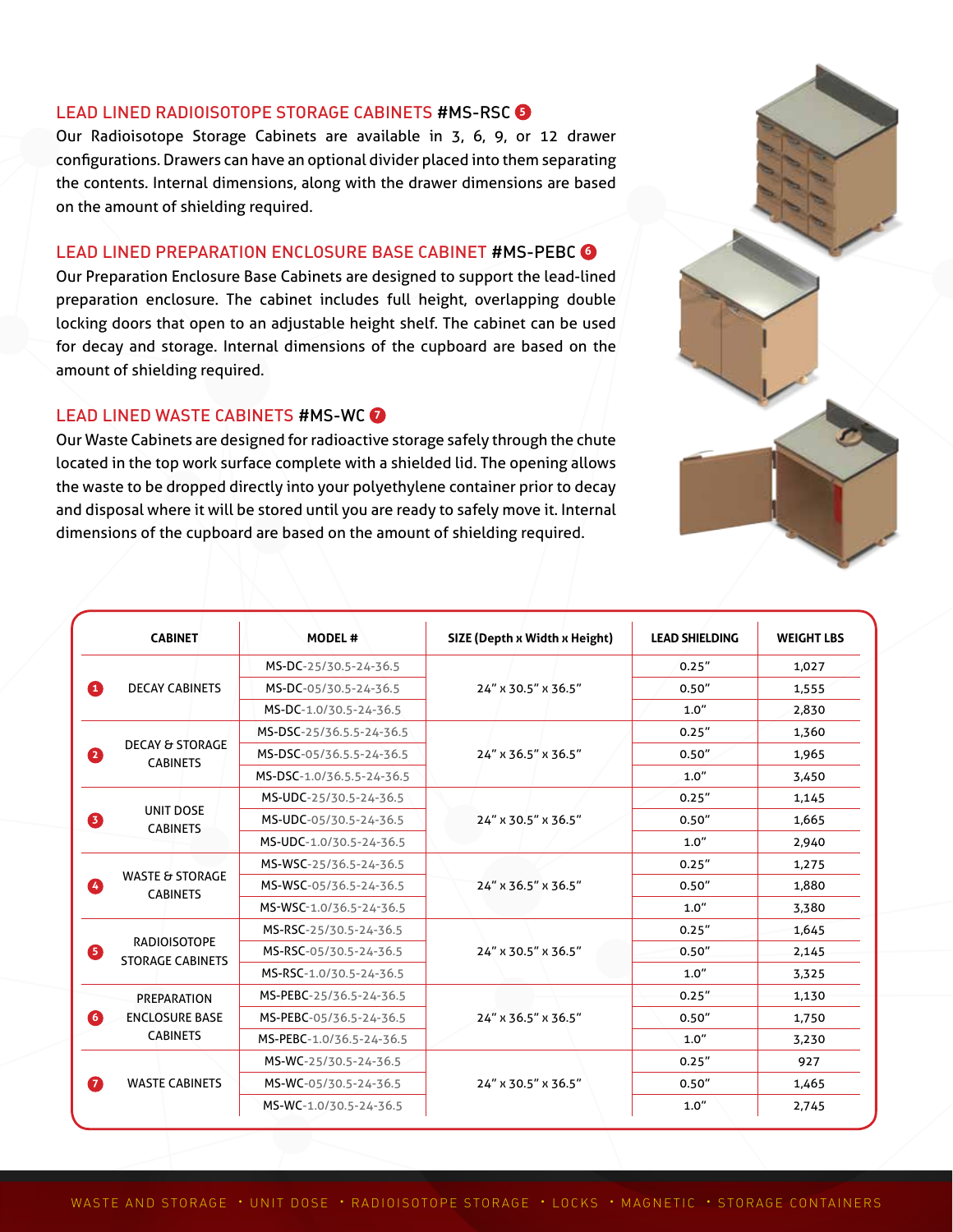#### LEAD LINED RADIOISOTOPE STORAGE CABINETS #MS-RSC **<sup>5</sup>**

Our Radioisotope Storage Cabinets are available in 3, 6, 9, or 12 drawer configurations. Drawers can have an optional divider placed into them separating the contents. Internal dimensions, along with the drawer dimensions are based on the amount of shielding required.

#### LEAD LINED PREPARATION ENCLOSURE BASE CABINET #MS-PEBC **<sup>6</sup>**

Our Preparation Enclosure Base Cabinets are designed to support the lead-lined preparation enclosure. The cabinet includes full height, overlapping double locking doors that open to an adjustable height shelf. The cabinet can be used for decay and storage. Internal dimensions of the cupboard are based on the amount of shielding required.

#### LEAD LINED WASTE CABINETS #MS-WC **<sup>7</sup>**

Our Waste Cabinets are designed for radioactive storage safely through the chute located in the top work surface complete with a shielded lid. The opening allows the waste to be dropped directly into your polyethylene container prior to decay and disposal where it will be stored until you are ready to safely move it. Internal dimensions of the cupboard are based on the amount of shielding required.



| <b>CABINET</b>                                          | <b>MODEL#</b>             | SIZE (Depth x Width x Height) | <b>LEAD SHIELDING</b> | <b>WEIGHT LBS</b> |
|---------------------------------------------------------|---------------------------|-------------------------------|-----------------------|-------------------|
| <b>DECAY CABINETS</b><br>O                              | MS-DC-25/30.5-24-36.5     | 24" x 30.5" x 36.5"           | 0.25''                | 1,027             |
|                                                         | MS-DC-05/30.5-24-36.5     |                               | 0.50''                | 1,555             |
|                                                         | MS-DC-1.0/30.5-24-36.5    |                               | 1.0''                 | 2,830             |
| <b>DECAY &amp; STORAGE</b><br>2<br><b>CABINETS</b>      | MS-DSC-25/36.5.5-24-36.5  | 24" x 36.5" x 36.5"           | 0.25''                | 1,360             |
|                                                         | MS-DSC-05/36.5.5-24-36.5  |                               | 0.50''                | 1,965             |
|                                                         | MS-DSC-1.0/36.5.5-24-36.5 |                               | 1.0''                 | 3,450             |
| <b>UNIT DOSE</b><br><b>CABINETS</b>                     | MS-UDC-25/30.5-24-36.5    | 24" x 30.5" x 36.5"           | 0.25''                | 1,145             |
|                                                         | MS-UDC-05/30.5-24-36.5    |                               | 0.50''                | 1,665             |
|                                                         | MS-UDC-1.0/30.5-24-36.5   |                               | 1.0''                 | 2,940             |
|                                                         | MS-WSC-25/36.5-24-36.5    | 24" x 36.5" x 36.5"           | 0.25''                | 1,275             |
| <b>WASTE &amp; STORAGE</b><br><b>CABINETS</b>           | MS-WSC-05/36.5-24-36.5    |                               | 0.50''                | 1,880             |
|                                                         | MS-WSC-1.0/36.5-24-36.5   |                               | 1.0''                 | 3,380             |
|                                                         | MS-RSC-25/30.5-24-36.5    | 24" x 30.5" x 36.5"           | 0.25''                | 1,645             |
| <b>RADIOISOTOPE</b><br><b>STORAGE CABINETS</b>          | MS-RSC-05/30.5-24-36.5    |                               | 0.50''                | 2,145             |
|                                                         | MS-RSC-1.0/30.5-24-36.5   |                               | 1.0''                 | 3,325             |
| PREPARATION<br><b>ENCLOSURE BASE</b><br><b>CABINETS</b> | MS-PEBC-25/36.5-24-36.5   | 24" x 36.5" x 36.5"           | 0.25''                | 1,130             |
|                                                         | MS-PEBC-05/36.5-24-36.5   |                               | 0.50''                | 1,750             |
|                                                         | MS-PEBC-1.0/36.5-24-36.5  |                               | 1.0''                 | 3,230             |
| <b>WASTE CABINETS</b>                                   | MS-WC-25/30.5-24-36.5     | 24" x 30.5" x 36.5"           | 0.25''                | 927               |
|                                                         | MS-WC-05/30.5-24-36.5     |                               | 0.50''                | 1,465             |
|                                                         | MS-WC-1.0/30.5-24-36.5    |                               | 1.0''                 | 2,745             |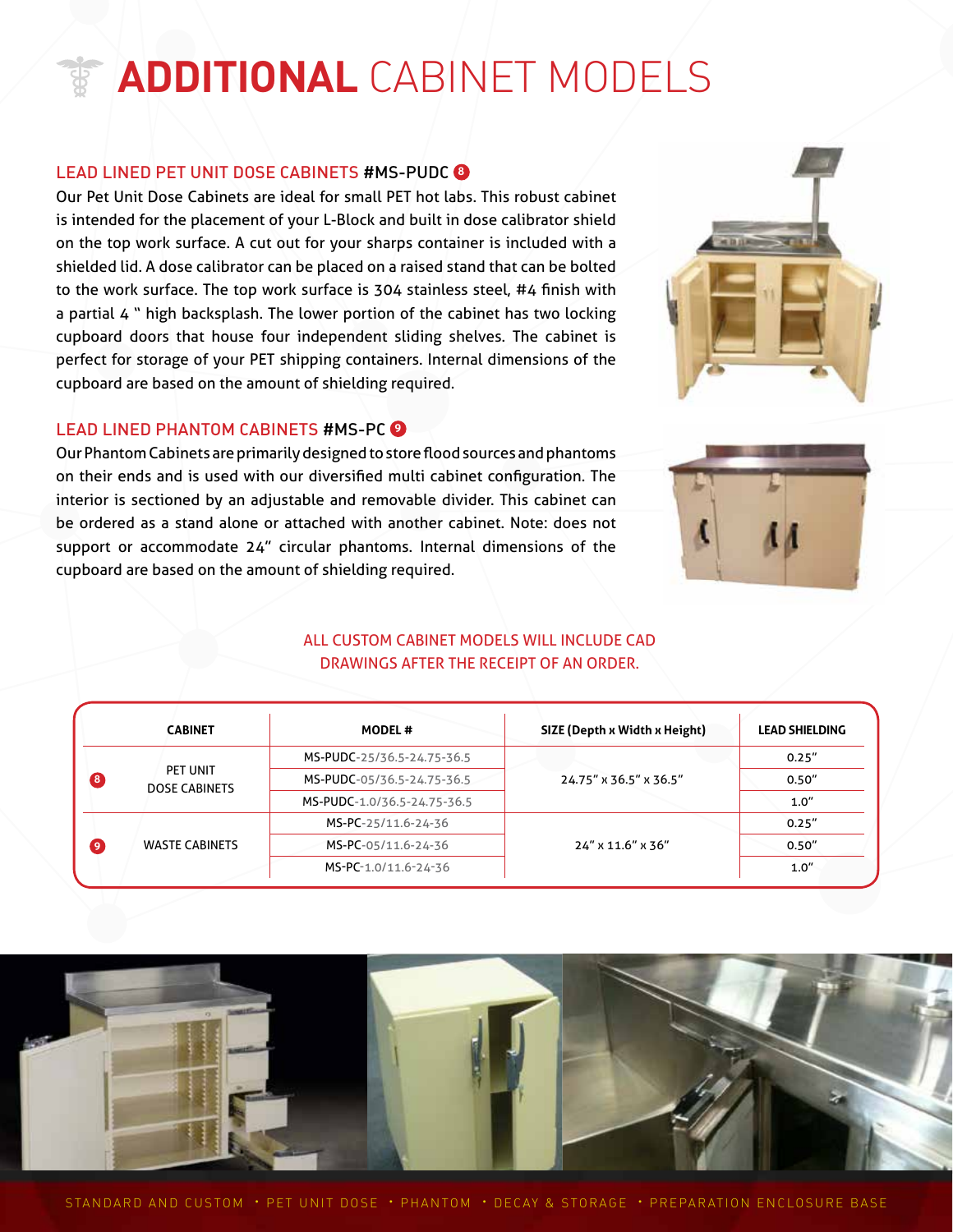# **ADDITIONAL** CABINET MODELS

#### LEAD LINED PET UNIT DOSE CABINETS #MS-PUDC **<sup>8</sup>**

Our Pet Unit Dose Cabinets are ideal for small PET hot labs. This robust cabinet is intended for the placement of your L-Block and built in dose calibrator shield on the top work surface. A cut out for your sharps container is included with a shielded lid. A dose calibrator can be placed on a raised stand that can be bolted to the work surface. The top work surface is 304 stainless steel, #4 finish with a partial 4 " high backsplash. The lower portion of the cabinet has two locking cupboard doors that house four independent sliding shelves. The cabinet is perfect for storage of your PET shipping containers. Internal dimensions of the cupboard are based on the amount of shielding required.

#### LEAD LINED PHANTOM CABINETS #MS-PC **<sup>9</sup>**

Our Phantom Cabinets are primarily designed to store flood sources and phantoms on their ends and is used with our diversified multi cabinet configuration. The interior is sectioned by an adjustable and removable divider. This cabinet can be ordered as a stand alone or attached with another cabinet. Note: does not support or accommodate 24" circular phantoms. Internal dimensions of the cupboard are based on the amount of shielding required.

#### ALL CUSTOM CABINET MODELS WILL INCLUDE CAD DRAWINGS AFTER THE RECEIPT OF AN ORDER.

|   | <b>CABINET</b>                   | <b>MODEL#</b>               | SIZE (Depth x Width x Height) | <b>LEAD SHIELDING</b> |
|---|----------------------------------|-----------------------------|-------------------------------|-----------------------|
| B | PET UNIT<br><b>DOSE CABINETS</b> | MS-PUDC-25/36.5-24.75-36.5  |                               | 0.25''                |
|   |                                  | MS-PUDC-05/36.5-24.75-36.5  | 24.75" x 36.5" x 36.5"        | 0.50''                |
|   |                                  | MS-PUDC-1.0/36.5-24.75-36.5 |                               | 1.0''                 |
| σ |                                  | MS-PC-25/11.6-24-36         |                               | 0.25''                |
|   | <b>WASTE CABINETS</b>            | MS-PC-05/11.6-24-36         | 24" x 11.6" x 36"             | 0.50''                |
|   |                                  | MS-PC-1.0/11.6-24-36        |                               | 1.0''                 |





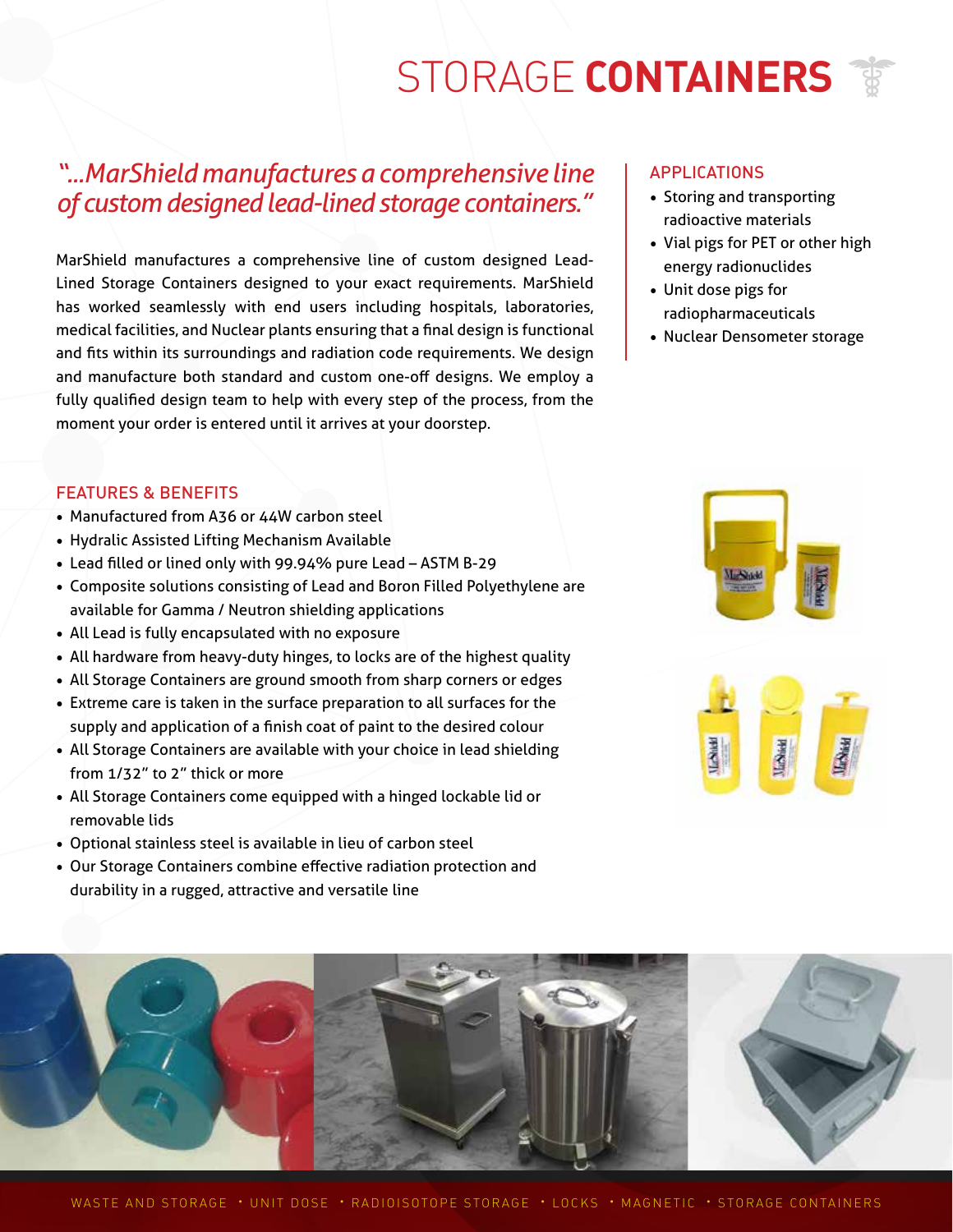# STORAGE **CONTAINERS**

### *"...MarShield manufactures a comprehensive line of custom designed lead-lined storage containers."*

MarShield manufactures a comprehensive line of custom designed Lead-Lined Storage Containers designed to your exact requirements. MarShield has worked seamlessly with end users including hospitals, laboratories, medical facilities, and Nuclear plants ensuring that a final design is functional and fits within its surroundings and radiation code requirements. We design and manufacture both standard and custom one-off designs. We employ a fully qualified design team to help with every step of the process, from the moment your order is entered until it arrives at your doorstep.

#### APPLICATIONS

- Storing and transporting radioactive materials
- Vial pigs for PET or other high energy radionuclides
- Unit dose pigs for radiopharmaceuticals
- Nuclear Densometer storage

#### FEATURES & BENEFITS

- Manufactured from A36 or 44W carbon steel
- Hydralic Assisted Lifting Mechanism Available
- Lead filled or lined only with 99.94% pure Lead ASTM B-29
- Composite solutions consisting of Lead and Boron Filled Polyethylene are available for Gamma / Neutron shielding applications
- All Lead is fully encapsulated with no exposure
- All hardware from heavy-duty hinges, to locks are of the highest quality
- All Storage Containers are ground smooth from sharp corners or edges
- Extreme care is taken in the surface preparation to all surfaces for the supply and application of a finish coat of paint to the desired colour
- All Storage Containers are available with your choice in lead shielding from 1/32" to 2" thick or more
- All Storage Containers come equipped with a hinged lockable lid or removable lids
- Optional stainless steel is available in lieu of carbon steel
- Our Storage Containers combine effective radiation protection and durability in a rugged, attractive and versatile line